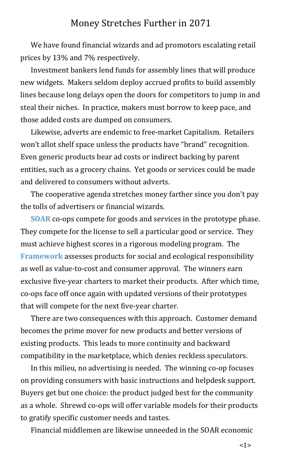## Money Stretches Further in 2071

We have found financial wizards and ad promotors escalating retail prices by 13% and 7% respectively.

Investment bankers lend funds for assembly lines that will produce new widgets. Makers seldom deploy accrued profits to build assembly lines because long delays open the doors for competitors to jump in and steal their niches. In practice, makers must borrow to keep pace, and those added costs are dumped on consumers.

Likewise, adverts are endemic to free-market Capitalism. Retailers won't allot shelf space unless the products have "brand" recognition. Even generic products bear ad costs or indirect backing by parent entities, such as a grocery chains. Yet goods or services could be made and delivered to consumers without adverts.

The cooperative agenda stretches money farther since you don't pay the tolls of advertisers or financial wizards.

<span id="page-0-1"></span><span id="page-0-0"></span>**[SOAR](#page-5-0)** co-ops compete for goods and services in the prototype phase. They compete for the license to sell a particular good or service. They must achieve highest scores in a rigorous modeling program. The **[Framework](#page-5-1)** assesses products for social and ecological responsibility as well as value-to-cost and consumer approval. The winners earn exclusive five-year charters to market their products. After which time, co-ops face off once again with updated versions of their prototypes that will compete for the next five-year charter.

There are two consequences with this approach. Customer demand becomes the prime mover for new products and better versions of existing products. This leads to more continuity and backward compatibility in the marketplace, which denies reckless speculators.

In this milieu, no advertising is needed. The winning co-op focuses on providing consumers with basic instructions and helpdesk support. Buyers get but one choice: the product judged best for the community as a whole. Shrewd co-ops will offer variable models for their products to gratify specific customer needs and tastes.

Financial middlemen are likewise unneeded in the SOAR economic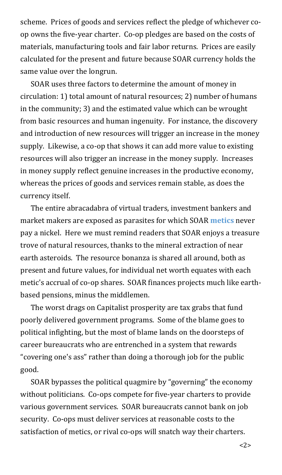scheme. Prices of goods and services reflect the pledge of whichever coop owns the five-year charter. Co-op pledges are based on the costs of materials, manufacturing tools and fair labor returns. Prices are easily calculated for the present and future because SOAR currency holds the same value over the longrun.

SOAR uses three factors to determine the amount of money in circulation: 1) total amount of natural resources; 2) number of humans in the community; 3) and the estimated value which can be wrought from basic resources and human ingenuity. For instance, the discovery and introduction of new resources will trigger an increase in the money supply. Likewise, a co-op that shows it can add more value to existing resources will also trigger an increase in the money supply. Increases in money supply reflect genuine increases in the productive economy, whereas the prices of goods and services remain stable, as does the currency itself.

<span id="page-1-0"></span>The entire abracadabra of virtual traders, investment bankers and market makers are exposed as parasites for which SOAR **[metics](#page-5-2)** never pay a nickel. Here we must remind readers that SOAR enjoys a treasure trove of natural resources, thanks to the mineral extraction of near earth asteroids. The resource bonanza is shared all around, both as present and future values, for individual net worth equates with each metic's accrual of co-op shares. SOAR finances projects much like earthbased pensions, minus the middlemen.

The worst drags on Capitalist prosperity are tax grabs that fund poorly delivered government programs. Some of the blame goes to political infighting, but the most of blame lands on the doorsteps of career bureaucrats who are entrenched in a system that rewards "covering one's ass" rather than doing a thorough job for the public good.

SOAR bypasses the political quagmire by "governing" the economy without politicians. Co-ops compete for five-year charters to provide various government services. SOAR bureaucrats cannot bank on job security. Co-ops must deliver services at reasonable costs to the satisfaction of metics, or rival co-ops will snatch way their charters.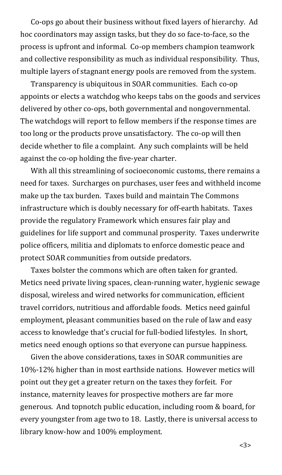Co-ops go about their business without fixed layers of hierarchy. Ad hoc coordinators may assign tasks, but they do so face-to-face, so the process is upfront and informal. Co-op members champion teamwork and collective responsibility as much as individual responsibility. Thus, multiple layers of stagnant energy pools are removed from the system.

Transparency is ubiquitous in SOAR communities. Each co-op appoints or elects a watchdog who keeps tabs on the goods and services delivered by other co-ops, both governmental and nongovernmental. The watchdogs will report to fellow members if the response times are too long or the products prove unsatisfactory. The co-op will then decide whether to file a complaint. Any such complaints will be held against the co-op holding the five-year charter.

With all this streamlining of socioeconomic customs, there remains a need for taxes. Surcharges on purchases, user fees and withheld income make up the tax burden. Taxes build and maintain The Commons infrastructure which is doubly necessary for off-earth habitats. Taxes provide the regulatory Framework which ensures fair play and guidelines for life support and communal prosperity. Taxes underwrite police officers, militia and diplomats to enforce domestic peace and protect SOAR communities from outside predators.

Taxes bolster the commons which are often taken for granted. Metics need private living spaces, clean-running water, hygienic sewage disposal, wireless and wired networks for communication, efficient travel corridors, nutritious and affordable foods. Metics need gainful employment, pleasant communities based on the rule of law and easy access to knowledge that's crucial for full-bodied lifestyles. In short, metics need enough options so that everyone can pursue happiness.

Given the above considerations, taxes in SOAR communities are 10%-12% higher than in most earthside nations. However metics will point out they get a greater return on the taxes they forfeit. For instance, maternity leaves for prospective mothers are far more generous. And topnotch public education, including room & board, for every youngster from age two to 18. Lastly, there is universal access to library know-how and 100% employment.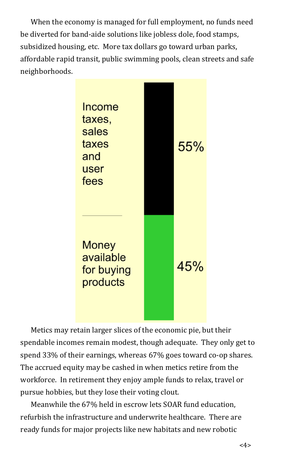When the economy is managed for full employment, no funds need be diverted for band-aide solutions like jobless dole, food stamps, subsidized housing, etc. More tax dollars go toward urban parks, affordable rapid transit, public swimming pools, clean streets and safe neighborhoods.



Metics may retain larger slices of the economic pie, but their spendable incomes remain modest, though adequate. They only get to spend 33% of their earnings, whereas 67% goes toward co-op shares. The accrued equity may be cashed in when metics retire from the workforce. In retirement they enjoy ample funds to relax, travel or pursue hobbies, but they lose their voting clout.

Meanwhile the 67% held in escrow lets SOAR fund education, refurbish the infrastructure and underwrite healthcare. There are ready funds for major projects like new habitats and new robotic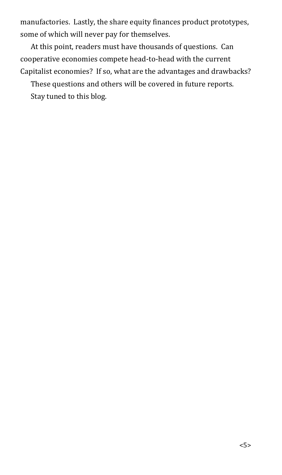manufactories. Lastly, the share equity finances product prototypes, some of which will never pay for themselves.

At this point, readers must have thousands of questions. Can cooperative economies compete head-to-head with the current Capitalist economies? If so, what are the advantages and drawbacks?

These questions and others will be covered in future reports. Stay tuned to this blog.